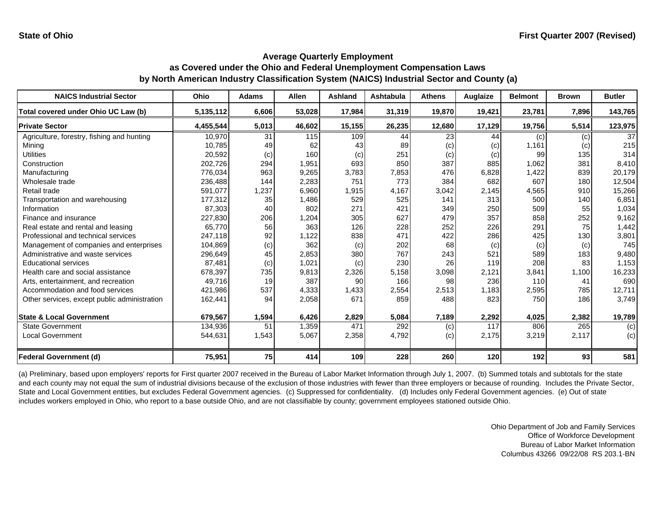| <b>NAICS Industrial Sector</b>               | <b>Ohio</b> | <b>Adams</b> | <b>Allen</b> | <b>Ashland</b> | <b>Ashtabula</b> | <b>Athens</b> | Auglaize | <b>Belmont</b> | <b>Brown</b> | <b>Butler</b> |
|----------------------------------------------|-------------|--------------|--------------|----------------|------------------|---------------|----------|----------------|--------------|---------------|
| Total covered under Ohio UC Law (b)          | 5,135,112   | 6,606        | 53,028       | 17,984         | 31,319           | 19,870        | 19,421   | 23,781         | 7,896        | 143,765       |
| <b>Private Sector</b>                        | 4,455,544   | 5,013        | 46,602       | 15,155         | 26,235           | 12,680        | 17,129   | 19,756         | 5,514        | 123,975       |
| Agriculture, forestry, fishing and hunting   | 10,970      | 31           | 115          | 109            | 44               | 23            | 44       | (c)            | (c)          | 37            |
| Mining                                       | 10.785      | 49           | 62           | 43             | 89               | (c)           | (c)      | 1,161          | (c)          | 215           |
| <b>Utilities</b>                             | 20,592      | (c)          | 160          | (c)            | 251              | (c)           | (c)      | 99             | 135          | 314           |
| Construction                                 | 202,726     | 294          | 1,951        | 693            | 850              | 387           | 885      | 1,062          | 381          | 8,410         |
| Manufacturing                                | 776,034     | 963          | 9,265        | 3,783          | 7,853            | 476           | 6,828    | 1,422          | 839          | 20,179        |
| Wholesale trade                              | 236,488     | 144          | 2,283        | 751            | 773              | 384           | 682      | 607            | 180          | 12,504        |
| Retail trade                                 | 591,077     | 1,237        | 6,960        | 1,915          | 4,167            | 3,042         | 2,145    | 4,565          | 910          | 15,266        |
| Transportation and warehousing               | 177,312     | 35           | 1,486        | 529            | 525              | 141           | 313      | 500            | 140          | 6,851         |
| Information                                  | 87,303      | 40           | 802          | 271            | 421              | 349           | 250      | 509            | 55           | 1,034         |
| Finance and insurance                        | 227,830     | 206          | 1,204        | 305            | 627              | 479           | 357      | 858            | 252          | 9,162         |
| Real estate and rental and leasing           | 65.770      | 56           | 363          | 126            | 228              | 252           | 226      | 291            | 75           | 1,442         |
| Professional and technical services          | 247,118     | 92           | 1,122        | 838            | 471              | 422           | 286      | 425            | 130          | 3,801         |
| Management of companies and enterprises      | 104,869     | (c)          | 362          | (c)            | 202              | 68            | (c)      | (c)            | (c)          | 745           |
| Administrative and waste services            | 296,649     | 45           | 2,853        | 380            | 767              | 243           | 521      | 589            | 183          | 9,480         |
| <b>Educational services</b>                  | 87,481      | (c)          | 1,021        | (c)            | 230              | 26            | 119      | 208            | 83           | 1,153         |
| Health care and social assistance            | 678,397     | 735          | 9,813        | 2,326          | 5,158            | 3,098         | 2,121    | 3,841          | 1,100        | 16,233        |
| Arts, entertainment, and recreation          | 49.716      | 19           | 387          | 90             | 166              | 98            | 236      | 110            | 41           | 690           |
| Accommodation and food services              | 421,986     | 537          | 4,333        | 1,433          | 2,554            | 2,513         | 1,183    | 2,595          | 785          | 12,711        |
| Other services, except public administration | 162,441     | 94           | 2,058        | 671            | 859              | 488           | 823      | 750            | 186          | 3,749         |
| <b>State &amp; Local Government</b>          | 679,567     | 1,594        | 6,426        | 2,829          | 5,084            | 7,189         | 2,292    | 4,025          | 2,382        | 19,789        |
| <b>State Government</b>                      | 134,936     | 51           | 1,359        | 471            | 292              | (c)           | 117      | 806            | 265          | (c)           |
| <b>Local Government</b>                      | 544,631     | 1,543        | 5,067        | 2,358          | 4,792            | (c)           | 2,175    | 3,219          | 2,117        | (c)           |
| <b>Federal Government (d)</b>                | 75,951      | 75           | 414          | 109            | 228              | 260           | 120      | 192            | 93           | 581           |

(a) Preliminary, based upon employers' reports for First quarter 2007 received in the Bureau of Labor Market Information through July 1, 2007. (b) Summed totals and subtotals for the state and each county may not equal the sum of industrial divisions because of the exclusion of those industries with fewer than three employers or because of rounding. Includes the Private Sector, State and Local Government entities, but excludes Federal Government agencies. (c) Suppressed for confidentiality. (d) Includes only Federal Government agencies. (e) Out of state includes workers employed in Ohio, who report to a base outside Ohio, and are not classifiable by county; government employees stationed outside Ohio.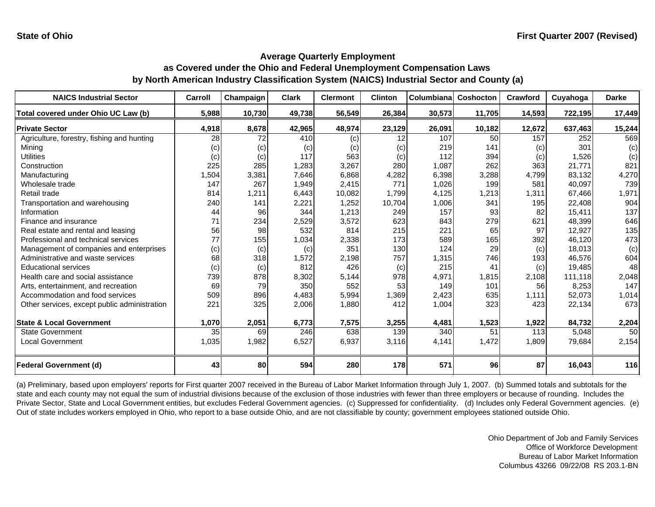| <b>NAICS Industrial Sector</b>               | Carroll         | Champaign | <b>Clark</b> | <b>Clermont</b> | <b>Clinton</b> | Columbianal | Coshocton | Crawford | Cuyahoga | <b>Darke</b> |
|----------------------------------------------|-----------------|-----------|--------------|-----------------|----------------|-------------|-----------|----------|----------|--------------|
| Total covered under Ohio UC Law (b)          | 5,988           | 10,730    | 49,738       | 56,549          | 26,384         | 30,573      | 11,705    | 14,593   | 722,195  | 17,449       |
| <b>Private Sector</b>                        | 4,918           | 8,678     | 42,965       | 48,974          | 23,129         | 26,091      | 10,182    | 12,672   | 637,463  | 15,244       |
| Agriculture, forestry, fishing and hunting   | $\overline{28}$ | 72        | 410          | (c)             | 12             | 107         | 50        | 157      | 252      | 569          |
| Minina                                       | (c)             | (c)       | (c)          | (c)             | (c)            | 219         | 141       | (c)      | 301      | (c)          |
| <b>Utilities</b>                             | (c)             | (c)       | 117          | 563             | (c)            | 112         | 394       | (c)      | 1,526    | (c)          |
| Construction                                 | 225             | 285       | 1.283        | 3,267           | 280            | 1,087       | 262       | 363      | 21.771   | 821          |
| Manufacturing                                | 1,504           | 3,381     | 7,646        | 6,868           | 4,282          | 6,398       | 3,288     | 4,799    | 83,132   | 4,270        |
| Wholesale trade                              | 147             | 267       | 1,949        | 2,415           | 771            | 1,026       | 199       | 581      | 40,097   | 739          |
| Retail trade                                 | 814             | 1,211     | 6,443        | 10,082          | 1,799          | 4,125       | 1,213     | 1,311    | 67,466   | 1,971        |
| Transportation and warehousing               | 240             | 141       | 2,221        | 1,252           | 10,704         | 1,006       | 341       | 195      | 22,408   | 904          |
| Information                                  | 44              | 96        | 344          | 1,213           | 249            | 157         | 93        | 82       | 15,411   | 137          |
| Finance and insurance                        | 71              | 234       | 2,529        | 3,572           | 623            | 843         | 279       | 621      | 48,399   | 646          |
| Real estate and rental and leasing           | 56              | 98        | 532          | 814             | 215            | 221         | 65        | 97       | 12,927   | 135          |
| Professional and technical services          | 77              | 155       | 1,034        | 2,338           | 173            | 589         | 165       | 392      | 46.120   | 473          |
| Management of companies and enterprises      | (c)             | (c)       | (c)          | 351             | 130            | 124         | 29        | (c)      | 18,013   | (c)          |
| Administrative and waste services            | 68              | 318       | 1,572        | 2,198           | 757            | 1,315       | 746       | 193      | 46.576   | 604          |
| <b>Educational services</b>                  | (c)             | (c)       | 812          | 426             | (c)            | 215         | 41        | (c)      | 19.485   | 48           |
| Health care and social assistance            | 739             | 878       | 8,302        | 5,144           | 978            | 4,971       | 1,815     | 2.108    | 111.118  | 2,048        |
| Arts, entertainment, and recreation          | 69              | 79        | 350          | 552             | 53             | 149         | 101       | 56       | 8,253    | 147          |
| Accommodation and food services              | 509             | 896       | 4,483        | 5,994           | 1,369          | 2,423       | 635       | 1,111    | 52,073   | 1,014        |
| Other services, except public administration | 221             | 325       | 2,006        | 1,880           | 412            | 1,004       | 323       | 423      | 22,134   | 673          |
| <b>State &amp; Local Government</b>          | 1,070           | 2,051     | 6,773        | 7,575           | 3,255          | 4,481       | 1,523     | 1,922    | 84,732   | 2,204        |
| <b>State Government</b>                      | 35              | 69        | 246          | 638             | 139            | 340         | 51        | 113      | 5,048    | 50           |
| Local Government                             | 1,035           | 1,982     | 6,527        | 6,937           | 3,116          | 4,141       | 1,472     | 1,809    | 79,684   | 2,154        |
| <b>Federal Government (d)</b>                | 43              | 80        | 594          | 280             | 178            | 571         | 96        | 87       | 16,043   | 116          |

(a) Preliminary, based upon employers' reports for First quarter 2007 received in the Bureau of Labor Market Information through July 1, 2007. (b) Summed totals and subtotals for the state and each county may not equal the sum of industrial divisions because of the exclusion of those industries with fewer than three employers or because of rounding. Includes the Private Sector, State and Local Government entities, but excludes Federal Government agencies. (c) Suppressed for confidentiality. (d) Includes only Federal Government agencies. (e) Out of state includes workers employed in Ohio, who report to a base outside Ohio, and are not classifiable by county; government employees stationed outside Ohio.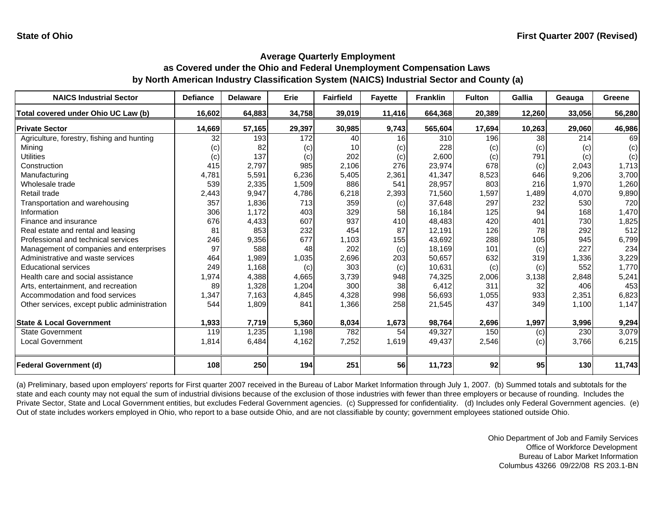| <b>NAICS Industrial Sector</b>               | <b>Defiance</b> | <b>Delaware</b> | Erie   | <b>Fairfield</b> | <b>Favette</b> | <b>Franklin</b> | <b>Fulton</b> | Gallia | Geauga | Greene |
|----------------------------------------------|-----------------|-----------------|--------|------------------|----------------|-----------------|---------------|--------|--------|--------|
| Total covered under Ohio UC Law (b)          | 16,602          | 64,883          | 34,758 | 39,019           | 11,416         | 664,368         | 20,389        | 12,260 | 33,056 | 56,280 |
| <b>Private Sector</b>                        | 14,669          | 57,165          | 29,397 | 30,985           | 9,743          | 565,604         | 17,694        | 10,263 | 29,060 | 46,986 |
| Agriculture, forestry, fishing and hunting   | 32              | 193             | 172    | 40               | 16             | 310             | 196           | 38     | 214    | 69     |
| Mining                                       | (c)             | 82              | (c)    | 10 <sup>1</sup>  | (c)            | 228             | (c)           | (c)    | (c)    | (c)    |
| <b>Utilities</b>                             | (c)             | 137             | (c)    | 202              | (c)            | 2,600           | (c)           | 791    | (c)    | (c)    |
| Construction                                 | 415             | 2,797           | 985    | 2,106            | 276            | 23,974          | 678           | (c)    | 2,043  | 1,713  |
| Manufacturing                                | 4,781           | 5,591           | 6,236  | 5,405            | 2,361          | 41,347          | 8,523         | 646    | 9,206  | 3,700  |
| Wholesale trade                              | 539             | 2,335           | 1,509  | 886              | 541            | 28,957          | 803           | 216    | 1,970  | 1,260  |
| Retail trade                                 | 2,443           | 9,947           | 4,786  | 6,218            | 2,393          | 71,560          | 1,597         | 1,489  | 4,070  | 9,890  |
| Transportation and warehousing               | 357             | 1,836           | 713    | 359              | (c)            | 37,648          | 297           | 232    | 530    | 720    |
| Information                                  | 306             | 1,172           | 403    | 329              | 58             | 16,184          | 125           | 94     | 168    | 1,470  |
| Finance and insurance                        | 676             | 4,433           | 607    | 937              | 410            | 48,483          | 420           | 401    | 730    | 1,825  |
| Real estate and rental and leasing           | 81              | 853             | 232    | 454              | 87             | 12,191          | 126           | 78     | 292    | 512    |
| Professional and technical services          | 246             | 9,356           | 677    | 1,103            | 155            | 43,692          | 288           | 105    | 945    | 6,799  |
| Management of companies and enterprises      | 97              | 588             | 48     | 202              | (c)            | 18,169          | 101           | (c)    | 227    | 234    |
| Administrative and waste services            | 464             | 1,989           | 1,035  | 2,696            | 203            | 50,657          | 632           | 319    | 1,336  | 3,229  |
| <b>Educational services</b>                  | 249             | 1,168           | (c)    | 303              | (c)            | 10,631          | (c)           | (c)    | 552    | 1,770  |
| Health care and social assistance            | 1,974           | 4,388           | 4,665  | 3,739            | 948            | 74,325          | 2,006         | 3,138  | 2,848  | 5,241  |
| Arts, entertainment, and recreation          | 89              | 1,328           | 1,204  | 300              | 38             | 6,412           | 311           | 32     | 406    | 453    |
| Accommodation and food services              | 1,347           | 7,163           | 4,845  | 4,328            | 998            | 56,693          | 1,055         | 933    | 2,351  | 6,823  |
| Other services, except public administration | 544             | 1,809           | 841    | 1,366            | 258            | 21,545          | 437           | 349    | 1,100  | 1,147  |
| <b>State &amp; Local Government</b>          | 1,933           | 7,719           | 5,360  | 8,034            | 1,673          | 98,764          | 2,696         | 1,997  | 3,996  | 9,294  |
| <b>State Government</b>                      | 119             | 1,235           | 1,198  | 782              | 54             | 49,327          | 150           | (c)    | 230    | 3,079  |
| <b>Local Government</b>                      | 1,814           | 6,484           | 4,162  | 7,252            | 1,619          | 49,437          | 2,546         | (c)    | 3,766  | 6,215  |
| <b>Federal Government (d)</b>                | 108             | 250             | 194    | 251              | 56             | 11,723          | 92            | 95     | 130    | 11,743 |

(a) Preliminary, based upon employers' reports for First quarter 2007 received in the Bureau of Labor Market Information through July 1, 2007. (b) Summed totals and subtotals for the state and each county may not equal the sum of industrial divisions because of the exclusion of those industries with fewer than three employers or because of rounding. Includes the Private Sector, State and Local Government entities, but excludes Federal Government agencies. (c) Suppressed for confidentiality. (d) Includes only Federal Government agencies. (e) Out of state includes workers employed in Ohio, who report to a base outside Ohio, and are not classifiable by county; government employees stationed outside Ohio.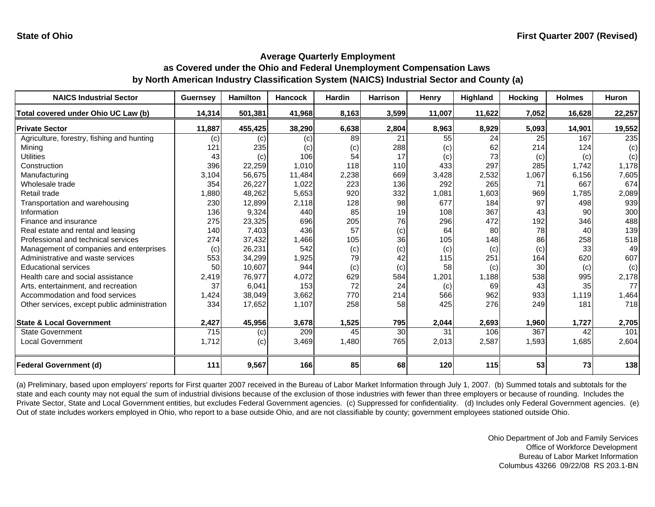| <b>NAICS Industrial Sector</b>               | <b>Guernsey</b> | <b>Hamilton</b> | <b>Hancock</b> | <b>Hardin</b> | <b>Harrison</b> | Henry  | Highland | <b>Hocking</b> | <b>Holmes</b> | <b>Huron</b> |
|----------------------------------------------|-----------------|-----------------|----------------|---------------|-----------------|--------|----------|----------------|---------------|--------------|
| Total covered under Ohio UC Law (b)          | 14,314          | 501,381         | 41,968         | 8,163         | 3,599           | 11,007 | 11,622   | 7,052          | 16,628        | 22,257       |
| <b>Private Sector</b>                        | 11,887          | 455,425         | 38,290         | 6,638         | 2,804           | 8,963  | 8,929    | 5,093          | 14,901        | 19,552       |
| Agriculture, forestry, fishing and hunting   | (c)             | (c)             | (c)            | 89            | 21              | 55     | 24       | 25             | 167           | 235          |
| Minina                                       | 121             | 235             | (c)            | (c)           | 288             | (c)    | 62       | 214            | 124           | (c)          |
| <b>Utilities</b>                             | 43              | (c)             | 106            | 54            | 17              | (c)    | 73       | (c)            | (c)           | (c)          |
| Construction                                 | 396             | 22,259          | 1,010          | 118           | 110             | 433    | 297      | 285            | 1,742         | 1,178        |
| Manufacturing                                | 3,104           | 56,675          | 11,484         | 2,238         | 669             | 3,428  | 2,532    | 1,067          | 6,156         | 7,605        |
| Wholesale trade                              | 354             | 26,227          | 1,022          | 223           | 136             | 292    | 265      | 71             | 667           | 674          |
| Retail trade                                 | ,880            | 48,262          | 5,653          | 920           | 332             | 1,081  | 1,603    | 969            | 1,785         | 2,089        |
| Transportation and warehousing               | 230             | 12,899          | 2,118          | 128           | 98              | 677    | 184      | 97             | 498           | 939          |
| Information                                  | 136             | 9,324           | 440            | 85            | 19              | 108    | 367      | 43             | 90            | 300          |
| Finance and insurance                        | 275             | 23,325          | 696            | 205           | 76              | 296    | 472      | 192            | 346           | 488          |
| Real estate and rental and leasing           | 140             | 7,403           | 436            | 57            | (c)             | 64     | 80       | 78             | 40            | 139          |
| Professional and technical services          | 274             | 37,432          | 1,466          | 105           | 36              | 105    | 148      | 86             | 258           | 518          |
| Management of companies and enterprises      | (c)             | 26,231          | 542            | (c)           | (c)             | (c)    | (c)      | (c)            | 33            | 49           |
| Administrative and waste services            | 553             | 34,299          | 1,925          | 79            | 42              | 115    | 251      | 164            | 620           | 607          |
| <b>Educational services</b>                  | 50              | 10,607          | 944            | (c)           | (c)             | 58     | (c)      | 30             | (c)           | (c)          |
| Health care and social assistance            | 2,419           | 76,977          | 4,072          | 629           | 584             | 1,201  | 1,188    | 538            | 995           | 2,178        |
| Arts, entertainment, and recreation          | 37              | 6,041           | 153            | 72            | 24              | (c)    | 69       | 43             | 35            | 77           |
| Accommodation and food services              | 1,424           | 38,049          | 3,662          | 770           | 214             | 566    | 962      | 933            | 1,119         | 1,464        |
| Other services, except public administration | 334             | 17,652          | 1,107          | 258           | 58              | 425    | 276      | 249            | 181           | 718          |
| <b>State &amp; Local Government</b>          | 2,427           | 45,956          | 3,678          | 1,525         | 795             | 2,044  | 2,693    | 1,960          | 1,727         | 2,705        |
| <b>State Government</b>                      | 715             | (c)             | 209            | 45            | 30              | 31     | 106      | 367            | 42            | 101          |
| <b>Local Government</b>                      | 1,712           | (c)             | 3,469          | 1,480         | 765             | 2,013  | 2,587    | 1,593          | 1,685         | 2,604        |
| <b>Federal Government (d)</b>                | 111             | 9,567           | 166            | 85            | 68              | 120    | 115      | 53             | 73            | 138          |

(a) Preliminary, based upon employers' reports for First quarter 2007 received in the Bureau of Labor Market Information through July 1, 2007. (b) Summed totals and subtotals for the state and each county may not equal the sum of industrial divisions because of the exclusion of those industries with fewer than three employers or because of rounding. Includes the Private Sector, State and Local Government entities, but excludes Federal Government agencies. (c) Suppressed for confidentiality. (d) Includes only Federal Government agencies. (e) Out of state includes workers employed in Ohio, who report to a base outside Ohio, and are not classifiable by county; government employees stationed outside Ohio.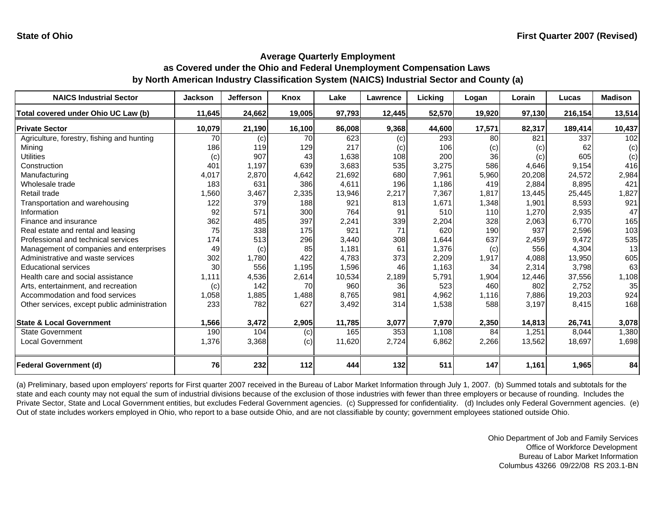| <b>NAICS Industrial Sector</b>               | <b>Jackson</b> | <b>Jefferson</b> | <b>Knox</b> | Lake   | Lawrence | Licking | Logan  | Lorain | Lucas   | <b>Madison</b> |
|----------------------------------------------|----------------|------------------|-------------|--------|----------|---------|--------|--------|---------|----------------|
| Total covered under Ohio UC Law (b)          | 11,645         | 24,662           | 19,005      | 97,793 | 12,445   | 52,570  | 19,920 | 97,130 | 216,154 | 13,514         |
| <b>Private Sector</b>                        | 10,079         | 21,190           | 16,100      | 86,008 | 9,368    | 44,600  | 17,571 | 82,317 | 189,414 | 10,437         |
| Agriculture, forestry, fishing and hunting   | 70             | (c)              | 70          | 623    | (c)      | 293     | 80     | 821    | 337     | 102            |
| Mining                                       | 186            | 119              | 129         | 217    | (c)      | 106     | (c)    | (c)    | 62      | (c)            |
| <b>Utilities</b>                             | (c)            | 907              | 43          | 1,638  | 108      | 200     | 36     | (c)    | 605     | (c)            |
| Construction                                 | 401            | 1,197            | 639         | 3,683  | 535      | 3,275   | 586    | 4,646  | 9,154   | 416            |
| Manufacturing                                | 4,017          | 2,870            | 4,642       | 21,692 | 680      | 7,961   | 5,960  | 20,208 | 24,572  | 2,984          |
| Wholesale trade                              | 183            | 631              | 386         | 4,611  | 196      | 1,186   | 419    | 2,884  | 8,895   | 421            |
| Retail trade                                 | 1,560          | 3,467            | 2,335       | 13,946 | 2,217    | 7,367   | 1.817  | 13,445 | 25,445  | 1,827          |
| Transportation and warehousing               | 122            | 379              | 188         | 921    | 813      | 1,671   | 1,348  | 1,901  | 8,593   | 921            |
| Information                                  | 92             | 571              | 300         | 764    | 91       | 510     | 110    | 1,270  | 2,935   | 47             |
| Finance and insurance                        | 362            | 485              | 397         | 2,241  | 339      | 2,204   | 328    | 2,063  | 6,770   | 165            |
| Real estate and rental and leasing           | 75             | 338              | 175         | 921    | 71       | 620     | 190    | 937    | 2,596   | 103            |
| Professional and technical services          | 174            | 513              | 296         | 3,440  | 308      | 1,644   | 637    | 2,459  | 9,472   | 535            |
| Management of companies and enterprises      | 49             | (c)              | 85          | 1,181  | 61       | 1,376   | (c)    | 556    | 4,304   | 13             |
| Administrative and waste services            | 302            | 1,780            | 422         | 4,783  | 373      | 2,209   | 1,917  | 4,088  | 13,950  | 605            |
| <b>Educational services</b>                  | 30             | 556              | 1,195       | 1,596  | 46       | 1,163   | 34     | 2,314  | 3,798   | 63             |
| Health care and social assistance            | 1,111          | 4,536            | 2,614       | 10,534 | 2,189    | 5,791   | 1,904  | 12,446 | 37,556  | 1,108          |
| Arts, entertainment, and recreation          | (c)            | 142              | 70          | 960    | 36       | 523     | 460    | 802    | 2,752   | 35             |
| Accommodation and food services              | 1,058          | 1,885            | 1,488       | 8,765  | 981      | 4,962   | 1,116  | 7,886  | 19,203  | 924            |
| Other services, except public administration | 233            | 782              | 627         | 3,492  | 314      | 1,538   | 588    | 3,197  | 8,415   | 168            |
|                                              |                |                  |             |        |          |         |        |        |         |                |
| <b>State &amp; Local Government</b>          | 1,566          | 3,472            | 2,905       | 11,785 | 3,077    | 7,970   | 2,350  | 14,813 | 26,741  | 3,078          |
| State Government                             | 190            | 104              | (c)         | 165    | 353      | 1,108   | 84     | 1,251  | 8,044   | 1,380          |
| <b>Local Government</b>                      | 1,376          | 3,368            | (c)         | 11,620 | 2,724    | 6,862   | 2,266  | 13,562 | 18,697  | 1,698          |
| Federal Government (d)                       | 76             | 232              | 112         | 444    | 132      | 511     | 147    | 1,161  | 1,965   | 84             |

(a) Preliminary, based upon employers' reports for First quarter 2007 received in the Bureau of Labor Market Information through July 1, 2007. (b) Summed totals and subtotals for the state and each county may not equal the sum of industrial divisions because of the exclusion of those industries with fewer than three employers or because of rounding. Includes the Private Sector, State and Local Government entities, but excludes Federal Government agencies. (c) Suppressed for confidentiality. (d) Includes only Federal Government agencies. (e) Out of state includes workers employed in Ohio, who report to a base outside Ohio, and are not classifiable by county; government employees stationed outside Ohio.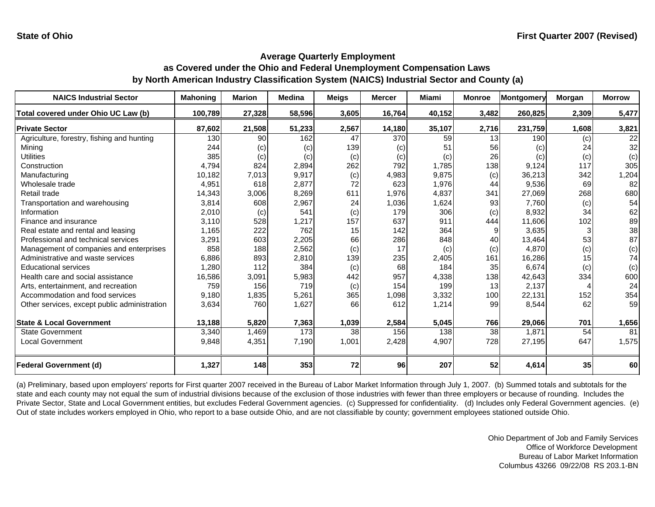| <b>NAICS Industrial Sector</b>               | <b>Mahoning</b> | <b>Marion</b> | <b>Medina</b> | <b>Meigs</b> | <b>Mercer</b> | <b>Miami</b> | <b>Monroe</b>   | Montgomery | <b>Morgan</b> | <b>Morrow</b>   |
|----------------------------------------------|-----------------|---------------|---------------|--------------|---------------|--------------|-----------------|------------|---------------|-----------------|
| Total covered under Ohio UC Law (b)          | 100,789         | 27,328        | 58,596        | 3,605        | 16,764        | 40,152       | 3,482           | 260,825    | 2,309         | 5,477           |
| <b>Private Sector</b>                        | 87,602          | 21,508        | 51,233        | 2,567        | 14,180        | 35,107       | 2,716           | 231,759    | 1,608         | 3,821           |
| Agriculture, forestry, fishing and hunting   | 130             | 90            | 162           | 47           | 370           | 59           | 13 <sup>1</sup> | 190        | (c)           | $\overline{22}$ |
| Minina                                       | 244             | (c)           | (c)           | 139          | (c)           | 51           | 56              | (c)        | 24            | 32              |
| <b>Utilities</b>                             | 385             | (c)           | (c)           | (c)          | (c)           | (c)          | 26              | (c)        | (c)           | (c)             |
| Construction                                 | 4,794           | 824           | 2,894         | 262          | 792           | 1,785        | 138             | 9,124      | 117           | 305             |
| Manufacturing                                | 10,182          | 7,013         | 9,917         | (c)          | 4,983         | 9.875        | (c)             | 36,213     | 342           | 1,204           |
| Wholesale trade                              | 4,951           | 618           | 2,877         | 72           | 623           | 1,976        | 44              | 9,536      | 69            | 82              |
| Retail trade                                 | 14,343          | 3,006         | 8,269         | 611          | 1,976         | 4,837        | 341             | 27,069     | 268           | 680             |
| Transportation and warehousing               | 3,814           | 608           | 2,967         | 24           | 1,036         | 1,624        | 93              | 7,760      | (c)           | 54              |
| Information                                  | 2,010           | (c)           | 541           | (c)          | 179           | 306          | (c)             | 8,932      | 34            | 62              |
| Finance and insurance                        | 3,110           | 528           | 1,217         | 157          | 637           | 911          | 444             | 11,606     | 102           | 89              |
| Real estate and rental and leasing           | 1,165           | 222           | 762           | 15           | 142           | 364          |                 | 3,635      | 3             | 38              |
| Professional and technical services          | 3,291           | 603           | 2,205         | 66           | 286           | 848          | 40              | 13,464     | 53            | 87              |
| Management of companies and enterprises      | 858             | 188           | 2,562         | (c)          | 17            | (c)          | (c)             | 4.870      | (c)           | (c)             |
| Administrative and waste services            | 6,886           | 893           | 2,810         | 139          | 235           | 2,405        | 161             | 16,286     | 15            | 74              |
| <b>Educational services</b>                  | 1,280           | 112           | 384           | (c)          | 68            | 184          | 35              | 6.674      | (c)           | (c)             |
| Health care and social assistance            | 16,586          | 3,091         | 5,983         | 442          | 957           | 4,338        | 138             | 42,643     | 334           | 600             |
| Arts, entertainment, and recreation          | 759             | 156           | 719           | (c)          | 154           | 199          | 13              | 2,137      |               | 24              |
| Accommodation and food services              | 9,180           | 1,835         | 5,261         | 365          | 1,098         | 3,332        | 100             | 22,131     | 152           | 354             |
| Other services, except public administration | 3,634           | 760           | 1,627         | 66           | 612           | 1,214        | 99              | 8,544      | 62            | 59              |
| <b>State &amp; Local Government</b>          | 13,188          | 5,820         | 7,363         | 1,039        | 2,584         | 5,045        | 766             | 29,066     | 701           | 1,656           |
| State Government                             | 3,340           | 1,469         | 173           | 38           | 156           | 138          | 38              | 1,871      | 54            | 81              |
| <b>Local Government</b>                      | 9,848           | 4,351         | 7,190         | 1,001        | 2,428         | 4,907        | 728             | 27,195     | 647           | 1,575           |
| <b>Federal Government (d)</b>                | 1,327           | 148           | 353           | 72           | 96            | 207          | 52              | 4,614      | 35            | 60              |

(a) Preliminary, based upon employers' reports for First quarter 2007 received in the Bureau of Labor Market Information through July 1, 2007. (b) Summed totals and subtotals for the state and each county may not equal the sum of industrial divisions because of the exclusion of those industries with fewer than three employers or because of rounding. Includes the Private Sector, State and Local Government entities, but excludes Federal Government agencies. (c) Suppressed for confidentiality. (d) Includes only Federal Government agencies. (e) Out of state includes workers employed in Ohio, who report to a base outside Ohio, and are not classifiable by county; government employees stationed outside Ohio.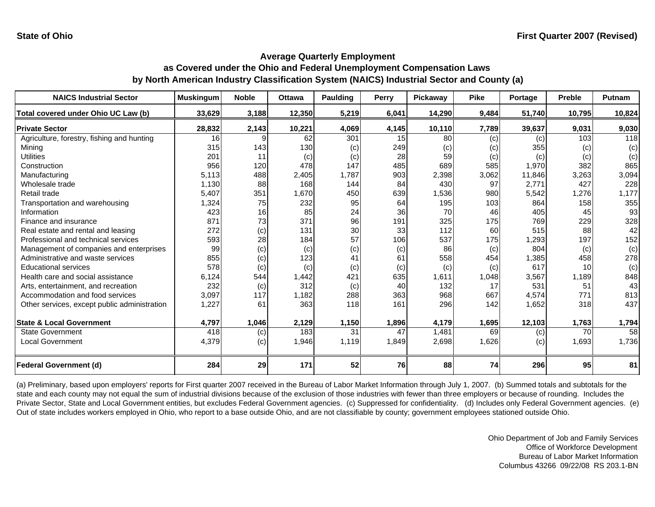| <b>NAICS Industrial Sector</b>               | <b>Muskingum</b> | <b>Noble</b> | <b>Ottawa</b> | <b>Paulding</b> | <b>Perry</b> | Pickaway | <b>Pike</b> | Portage | <b>Preble</b> | Putnam |
|----------------------------------------------|------------------|--------------|---------------|-----------------|--------------|----------|-------------|---------|---------------|--------|
| Total covered under Ohio UC Law (b)          | 33,629           | 3,188        | 12,350        | 5,219           | 6,041        | 14,290   | 9,484       | 51,740  | 10,795        | 10,824 |
| <b>Private Sector</b>                        | 28,832           | 2,143        | 10,221        | 4,069           | 4,145        | 10,110   | 7,789       | 39,637  | 9,031         | 9,030  |
| Agriculture, forestry, fishing and hunting   | 16               | a            | 62            | 301             | 15           | 80       | (c)         | (c)     | 103           | 118    |
| Minina                                       | 315              | 143          | 130           | (c)             | 249          | (c)      | (c)         | 355     | (c)           | (c)    |
| <b>Utilities</b>                             | 201              | 11           | (c)           | (c)             | 28           | 59       | (c)         | (c)     | (c)           | (c)    |
| Construction                                 | 956              | 120          | 478           | 147             | 485          | 689      | 585         | 1,970   | 382           | 865    |
| Manufacturing                                | 5,113            | 488          | 2,405         | 1,787           | 903          | 2,398    | 3,062       | 11,846  | 3,263         | 3,094  |
| Wholesale trade                              | 1,130            | 88           | 168           | 144             | 84           | 430      | 97          | 2,771   | 427           | 228    |
| Retail trade                                 | 5,407            | 351          | 1.670         | 450             | 639          | 1,536    | 980         | 5,542   | 1,276         | 1,177  |
| Transportation and warehousing               | 1,324            | 75           | 232           | 95              | 64           | 195      | 103         | 864     | 158           | 355    |
| Information                                  | 423              | 16           | 85            | 24              | 36           | 70       | 46          | 405     | 45            | 93     |
| Finance and insurance                        | 871              | 73           | 371           | 96              | 191          | 325      | 175         | 769     | 229           | 328    |
| Real estate and rental and leasing           | 272              | (c)          | 131           | 30              | 33           | 112      | 60          | 515     | 88            | 42     |
| Professional and technical services          | 593              | 28           | 184           | 57              | 106          | 537      | 175         | 1,293   | 197           | 152    |
| Management of companies and enterprises      | 99               | (c)          | (c)           | (c)             | (c)          | 86       | (c)         | 804     | (c)           | (c)    |
| Administrative and waste services            | 855              | (c)          | 123           | 41              | 61           | 558      | 454         | 1,385   | 458           | 278    |
| <b>Educational services</b>                  | 578              | (c)          | (c)           | (c)             | (c)          | (c)      | (c)         | 617     | 10            | (c)    |
| Health care and social assistance            | 6,124            | 544          | 1,442         | 421             | 635          | 1,611    | 1,048       | 3,567   | 1,189         | 848    |
| Arts, entertainment, and recreation          | 232              | (c)          | 312           | (c)             | 40           | 132      | 17          | 531     | 51            | 43     |
| Accommodation and food services              | 3,097            | 117          | 1,182         | 288             | 363          | 968      | 667         | 4,574   | 771           | 813    |
| Other services, except public administration | 1,227            | 61           | 363           | 118             | 161          | 296      | 142         | 1,652   | 318           | 437    |
| <b>State &amp; Local Government</b>          | 4,797            | 1,046        | 2,129         | 1,150           | 1,896        | 4,179    | 1,695       | 12,103  | 1,763         | 1,794  |
| <b>State Government</b>                      | 418              | (c)          | 183           | 31              | 47           | 1,481    | 69          | (c)     | 70            | 58     |
| <b>Local Government</b>                      | 4,379            | (c)          | 1,946         | 1,119           | 1,849        | 2,698    | 1,626       | (c)     | 1,693         | 1,736  |
|                                              |                  |              |               |                 |              |          |             |         |               |        |
| <b>Federal Government (d)</b>                | 284              | 29           | 171           | 52              | 76           | 88       | 74          | 296     | 95            | 81     |

(a) Preliminary, based upon employers' reports for First quarter 2007 received in the Bureau of Labor Market Information through July 1, 2007. (b) Summed totals and subtotals for the state and each county may not equal the sum of industrial divisions because of the exclusion of those industries with fewer than three employers or because of rounding. Includes the Private Sector, State and Local Government entities, but excludes Federal Government agencies. (c) Suppressed for confidentiality. (d) Includes only Federal Government agencies. (e) Out of state includes workers employed in Ohio, who report to a base outside Ohio, and are not classifiable by county; government employees stationed outside Ohio.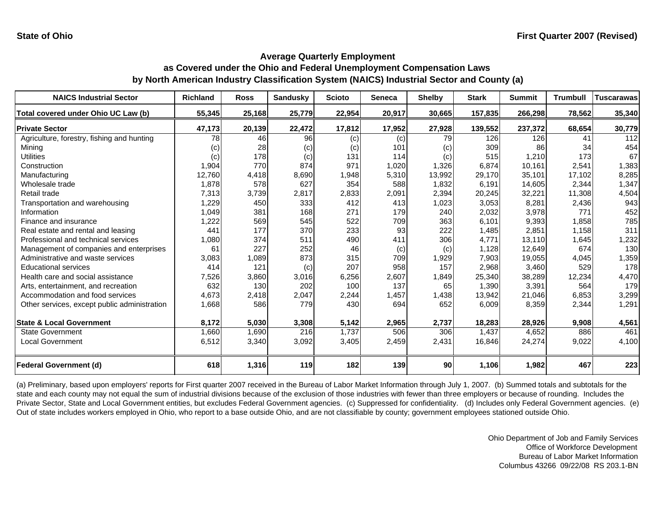| <b>NAICS Industrial Sector</b>               | <b>Richland</b> | <b>Ross</b> | <b>Sandusky</b> | <b>Scioto</b> | <b>Seneca</b> | <b>Shelby</b> | <b>Stark</b> | <b>Summit</b> | <b>Trumbull</b> | <b>Tuscarawas</b> |
|----------------------------------------------|-----------------|-------------|-----------------|---------------|---------------|---------------|--------------|---------------|-----------------|-------------------|
| Total covered under Ohio UC Law (b)          | 55,345          | 25,168      | 25,779          | 22,954        | 20,917        | 30,665        | 157,835      | 266,298       | 78,562          | 35,340            |
| <b>Private Sector</b>                        | 47,173          | 20,139      | 22,472          | 17,812        | 17,952        | 27,928        | 139,552      | 237,372       | 68,654          | 30,779            |
| Agriculture, forestry, fishing and hunting   | 78              | 46          | 96              | (c)           | (c)           | 79            | 126          | 126           | 41              | 112               |
| Mining                                       | (c)             | 28          | (c)             | (c)           | 101           | (c)           | 309          | 86            | 34              | 454               |
| Utilities                                    | (c)             | 178         | (c)             | 131           | 114           | (c)           | 515          | 1,210         | 173             | 67                |
| Construction                                 | 1,904           | 770         | 874             | 971           | 1,020         | 1,326         | 6,874        | 10,161        | 2,541           | 1,383             |
| Manufacturing                                | 12,760          | 4,418       | 8,690           | 1,948         | 5,310         | 13,992        | 29,170       | 35,101        | 17,102          | 8,285             |
| Wholesale trade                              | 1,878           | 578         | 627             | 354           | 588           | 1,832         | 6,191        | 14,605        | 2,344           | 1,347             |
| Retail trade                                 | 7,313           | 3,739       | 2,817           | 2,833         | 2,091         | 2,394         | 20,245       | 32,221        | 11,308          | 4,504             |
| Transportation and warehousing               | 1,229           | 450         | 333             | 412           | 413           | 1,023         | 3,053        | 8,281         | 2,436           | 943               |
| Information                                  | 1,049           | 381         | 168             | 271           | 179           | 240           | 2,032        | 3,978         | 771             | 452               |
| Finance and insurance                        | 1,222           | 569         | 545             | 522           | 709           | 363           | 6.101        | 9,393         | 1.858           | 785               |
| Real estate and rental and leasing           | 441             | 177         | 370             | 233           | 93            | 222           | 1,485        | 2,851         | 1,158           | 311               |
| Professional and technical services          | 1,080           | 374         | 511             | 490           | 411           | 306           | 4,771        | 13,110        | 1,645           | 1,232             |
| Management of companies and enterprises      | 61              | 227         | 252             | 46            | (c)           | (c)           | 1,128        | 12,649        | 674             | 130               |
| Administrative and waste services            | 3,083           | 1,089       | 873             | 315           | 709           | 1,929         | 7,903        | 19,055        | 4,045           | 1,359             |
| <b>Educational services</b>                  | 414             | 121         | (c)             | 207           | 958           | 157           | 2,968        | 3,460         | 529             | 178               |
| Health care and social assistance            | 7,526           | 3,860       | 3,016           | 6,256         | 2,607         | 1,849         | 25,340       | 38,289        | 12,234          | 4,470             |
| Arts, entertainment, and recreation          | 632             | 130         | 202             | 100           | 137           | 65            | 1,390        | 3,391         | 564             | 179               |
| Accommodation and food services              | 4,673           | 2,418       | 2,047           | 2,244         | 1,457         | 1,438         | 13,942       | 21,046        | 6,853           | 3,299             |
| Other services, except public administration | 1,668           | 586         | 779             | 430           | 694           | 652           | 6,009        | 8,359         | 2,344           | 1,291             |
|                                              |                 |             |                 |               |               |               |              |               |                 |                   |
| <b>State &amp; Local Government</b>          | 8,172           | 5,030       | 3,308           | 5,142         | 2,965         | 2,737         | 18,283       | 28,926        | 9,908           | 4,561             |
| <b>State Government</b>                      | 1,660           | 1,690       | 216             | 1,737         | 506           | 306           | 1,437        | 4,652         | 886             | 461               |
| <b>Local Government</b>                      | 6,512           | 3,340       | 3,092           | 3,405         | 2,459         | 2,431         | 16,846       | 24,274        | 9,022           | 4,100             |
|                                              |                 |             |                 |               |               |               |              |               |                 |                   |
| <b>Federal Government (d)</b>                | 618             | 1,316       | 119             | 182           | 139           | 90            | 1,106        | 1,982         | 467             | 223               |

(a) Preliminary, based upon employers' reports for First quarter 2007 received in the Bureau of Labor Market Information through July 1, 2007. (b) Summed totals and subtotals for the state and each county may not equal the sum of industrial divisions because of the exclusion of those industries with fewer than three employers or because of rounding. Includes the Private Sector, State and Local Government entities, but excludes Federal Government agencies. (c) Suppressed for confidentiality. (d) Includes only Federal Government agencies. (e) Out of state includes workers employed in Ohio, who report to a base outside Ohio, and are not classifiable by county; government employees stationed outside Ohio.